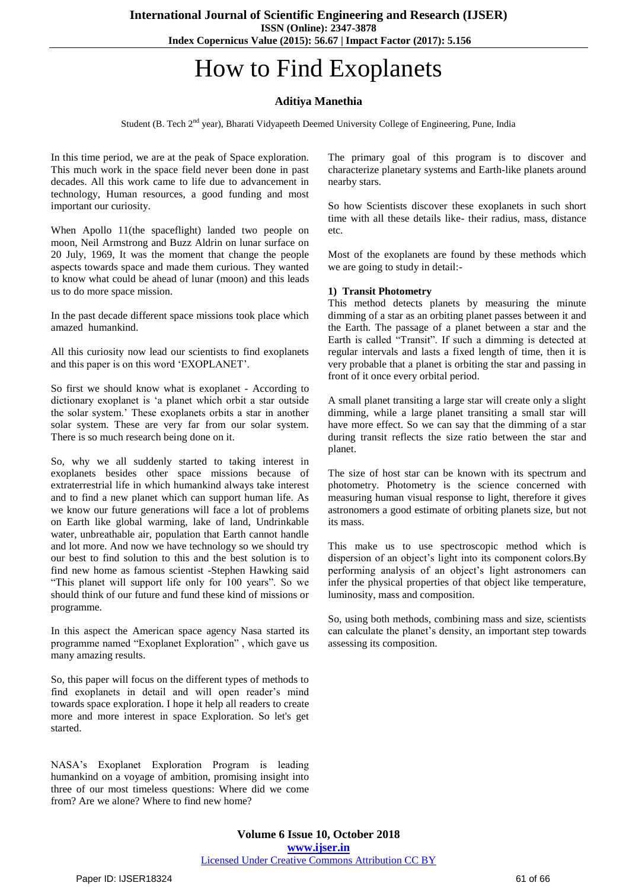# How to Find Exoplanets

# **Aditiya Manethia**

Student (B. Tech 2<sup>nd</sup> year), Bharati Vidyapeeth Deemed University College of Engineering, Pune, India

In this time period, we are at the peak of Space exploration. This much work in the space field never been done in past decades. All this work came to life due to advancement in technology, Human resources, a good funding and most important our curiosity.

When Apollo 11(the spaceflight) landed two people on moon, Neil Armstrong and Buzz Aldrin on lunar surface on 20 July, 1969, It was the moment that change the people aspects towards space and made them curious. They wanted to know what could be ahead of lunar (moon) and this leads us to do more space mission.

In the past decade different space missions took place which amazed humankind.

All this curiosity now lead our scientists to find exoplanets and this paper is on this word "EXOPLANET".

So first we should know what is exoplanet - According to dictionary exoplanet is "a planet which orbit a star outside the solar system." These exoplanets orbits a star in another solar system. These are very far from our solar system. There is so much research being done on it.

So, why we all suddenly started to taking interest in exoplanets besides other space missions because of extraterrestrial life in which humankind always take interest and to find a new planet which can support human life. As we know our future generations will face a lot of problems on Earth like global warming, lake of land, Undrinkable water, unbreathable air, population that Earth cannot handle and lot more. And now we have technology so we should try our best to find solution to this and the best solution is to find new home as famous scientist -Stephen Hawking said "This planet will support life only for 100 years". So we should think of our future and fund these kind of missions or programme.

In this aspect the American space agency Nasa started its programme named "Exoplanet Exploration" , which gave us many amazing results.

So, this paper will focus on the different types of methods to find exoplanets in detail and will open reader's mind towards space exploration. I hope it help all readers to create more and more interest in space Exploration. So let's get started.

NASA"s Exoplanet Exploration Program is leading humankind on a voyage of ambition, promising insight into three of our most timeless questions: Where did we come from? Are we alone? Where to find new home?

The primary goal of this program is to discover and characterize planetary systems and Earth-like planets around nearby stars.

So how Scientists discover these exoplanets in such short time with all these details like- their radius, mass, distance etc.

Most of the exoplanets are found by these methods which we are going to study in detail:-

#### **1) Transit Photometry**

This method detects planets by measuring the minute dimming of a star as an orbiting planet passes between it and the Earth. The passage of a planet between a star and the Earth is called "Transit". If such a dimming is detected at regular intervals and lasts a fixed length of time, then it is very probable that a planet is orbiting the star and passing in front of it once every orbital period.

A small planet transiting a large star will create only a slight dimming, while a large planet transiting a small star will have more effect. So we can say that the dimming of a star during transit reflects the size ratio between the star and planet.

The size of host star can be known with its spectrum and photometry. Photometry is the science concerned with measuring human visual response to light, therefore it gives astronomers a good estimate of orbiting planets size, but not its mass.

This make us to use spectroscopic method which is dispersion of an object"s light into its component colors.By performing analysis of an object's light astronomers can infer the physical properties of that object like temperature, luminosity, mass and composition.

So, using both methods, combining mass and size, scientists can calculate the planet's density, an important step towards assessing its composition.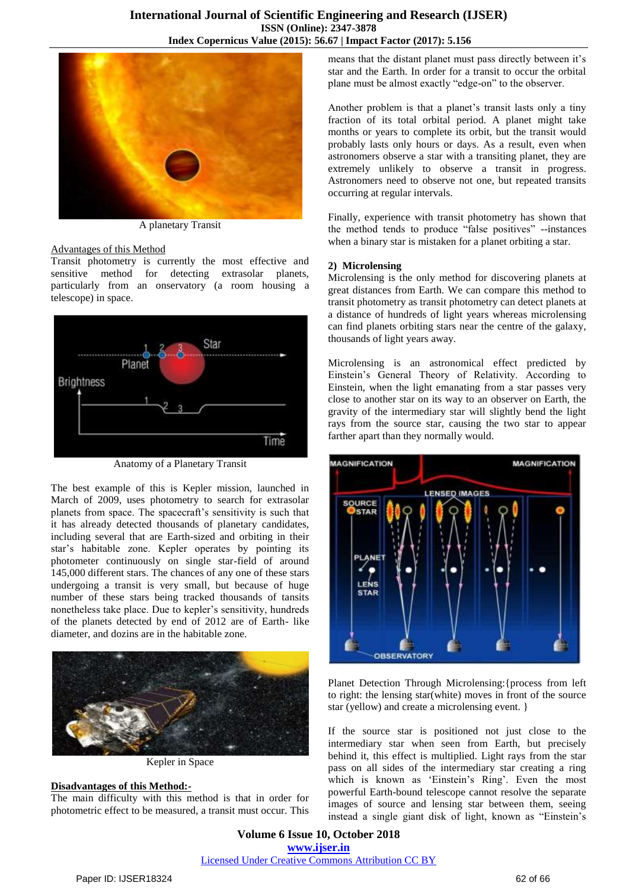

A planetary Transit

#### Advantages of this Method

Transit photometry is currently the most effective and sensitive method for detecting extrasolar planets, particularly from an onservatory (a room housing a telescope) in space.



Anatomy of a Planetary Transit

The best example of this is Kepler mission, launched in March of 2009, uses photometry to search for extrasolar planets from space. The spacecraft's sensitivity is such that it has already detected thousands of planetary candidates, including several that are Earth-sized and orbiting in their star"s habitable zone. Kepler operates by pointing its photometer continuously on single star-field of around 145,000 different stars. The chances of any one of these stars undergoing a transit is very small, but because of huge number of these stars being tracked thousands of tansits nonetheless take place. Due to kepler's sensitivity, hundreds of the planets detected by end of 2012 are of Earth- like diameter, and dozins are in the habitable zone.



Kepler in Space

# **Disadvantages of this Method:-**

The main difficulty with this method is that in order for photometric effect to be measured, a transit must occur. This means that the distant planet must pass directly between it's star and the Earth. In order for a transit to occur the orbital plane must be almost exactly "edge-on" to the observer.

Another problem is that a planet's transit lasts only a tiny fraction of its total orbital period. A planet might take months or years to complete its orbit, but the transit would probably lasts only hours or days. As a result, even when astronomers observe a star with a transiting planet, they are extremely unlikely to observe a transit in progress. Astronomers need to observe not one, but repeated transits occurring at regular intervals.

Finally, experience with transit photometry has shown that the method tends to produce "false positives" --instances when a binary star is mistaken for a planet orbiting a star.

#### **2) Microlensing**

Microlensing is the only method for discovering planets at great distances from Earth. We can compare this method to transit photometry as transit photometry can detect planets at a distance of hundreds of light years whereas microlensing can find planets orbiting stars near the centre of the galaxy, thousands of light years away.

Microlensing is an astronomical effect predicted by Einstein"s General Theory of Relativity. According to Einstein, when the light emanating from a star passes very close to another star on its way to an observer on Earth, the gravity of the intermediary star will slightly bend the light rays from the source star, causing the two star to appear farther apart than they normally would.



Planet Detection Through Microlensing:{process from left to right: the lensing star(white) moves in front of the source star (yellow) and create a microlensing event. }

If the source star is positioned not just close to the intermediary star when seen from Earth, but precisely behind it, this effect is multiplied. Light rays from the star pass on all sides of the intermediary star creating a ring which is known as 'Einstein's Ring'. Even the most powerful Earth-bound telescope cannot resolve the separate images of source and lensing star between them, seeing instead a single giant disk of light, known as "Einstein"s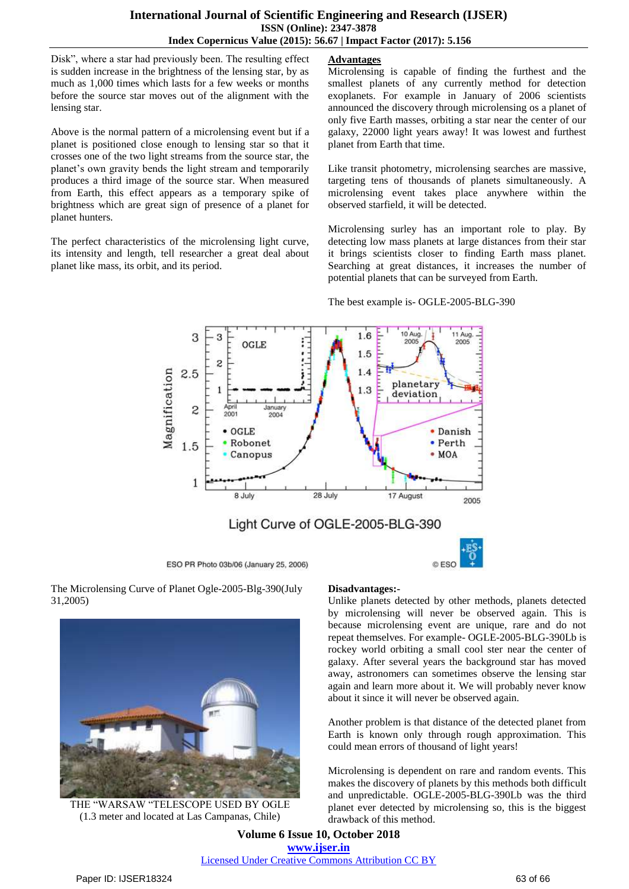Disk", where a star had previously been. The resulting effect is sudden increase in the brightness of the lensing star, by as much as 1,000 times which lasts for a few weeks or months before the source star moves out of the alignment with the lensing star.

Above is the normal pattern of a microlensing event but if a planet is positioned close enough to lensing star so that it crosses one of the two light streams from the source star, the planet"s own gravity bends the light stream and temporarily produces a third image of the source star. When measured from Earth, this effect appears as a temporary spike of brightness which are great sign of presence of a planet for planet hunters.

The perfect characteristics of the microlensing light curve, its intensity and length, tell researcher a great deal about planet like mass, its orbit, and its period.

# **Advantages**

Microlensing is capable of finding the furthest and the smallest planets of any currently method for detection exoplanets. For example in January of 2006 scientists announced the discovery through microlensing os a planet of only five Earth masses, orbiting a star near the center of our galaxy, 22000 light years away! It was lowest and furthest planet from Earth that time.

Like transit photometry, microlensing searches are massive, targeting tens of thousands of planets simultaneously. A microlensing event takes place anywhere within the observed starfield, it will be detected.

Microlensing surley has an important role to play. By detecting low mass planets at large distances from their star it brings scientists closer to finding Earth mass planet. Searching at great distances, it increases the number of potential planets that can be surveyed from Earth.

The best example is- OGLE-2005-BLG-390



ESO PR Photo 03b/06 (January 25, 2006)

The Microlensing Curve of Planet Ogle-2005-Blg-390(July 31,2005)



THE "WARSAW "TELESCOPE USED BY OGLE (1.3 meter and located at Las Campanas, Chile)

#### **Disadvantages:-**

Unlike planets detected by other methods, planets detected by microlensing will never be observed again. This is because microlensing event are unique, rare and do not repeat themselves. For example- OGLE-2005-BLG-390Lb is rockey world orbiting a small cool ster near the center of galaxy. After several years the background star has moved away, astronomers can sometimes observe the lensing star again and learn more about it. We will probably never know about it since it will never be observed again.

@ ESO

Another problem is that distance of the detected planet from Earth is known only through rough approximation. This could mean errors of thousand of light years!

Microlensing is dependent on rare and random events. This makes the discovery of planets by this methods both difficult and unpredictable. OGLE-2005-BLG-390Lb was the third planet ever detected by microlensing so, this is the biggest drawback of this method.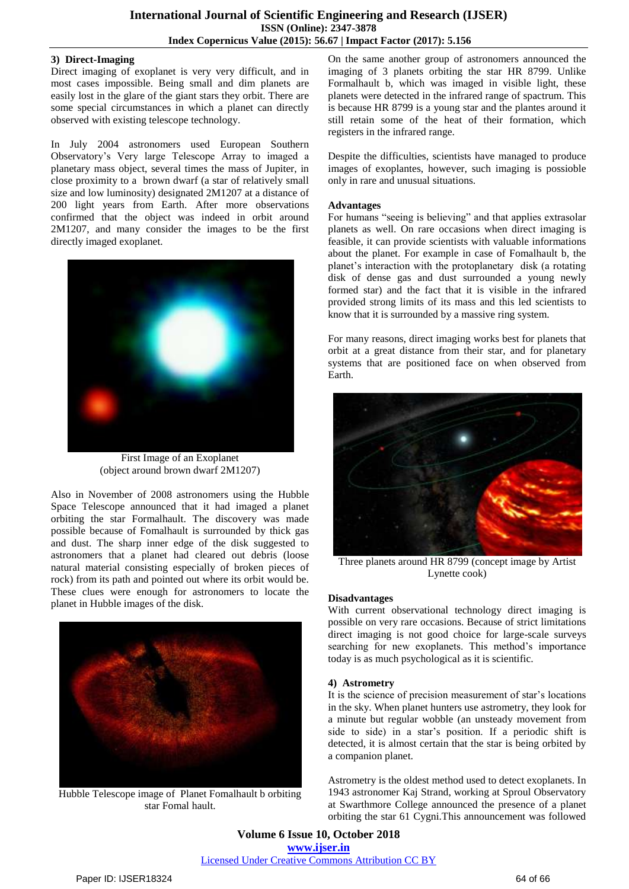### **3) Direct-Imaging**

Direct imaging of exoplanet is very very difficult, and in most cases impossible. Being small and dim planets are easily lost in the glare of the giant stars they orbit. There are some special circumstances in which a planet can directly observed with existing telescope technology.

In July 2004 astronomers used European Southern Observatory"s Very large Telescope Array to imaged a planetary mass object, several times the mass of Jupiter, in close proximity to a brown dwarf (a star of relatively small size and low luminosity) designated 2M1207 at a distance of 200 light years from Earth. After more observations confirmed that the object was indeed in orbit around 2M1207, and many consider the images to be the first directly imaged exoplanet.



First Image of an Exoplanet (object around brown dwarf 2M1207)

Also in November of 2008 astronomers using the Hubble Space Telescope announced that it had imaged a planet orbiting the star Formalhault. The discovery was made possible because of Fomalhault is surrounded by thick gas and dust. The sharp inner edge of the disk suggested to astronomers that a planet had cleared out debris (loose natural material consisting especially of broken pieces of rock) from its path and pointed out where its orbit would be. These clues were enough for astronomers to locate the planet in Hubble images of the disk.



Hubble Telescope image of Planet Fomalhault b orbiting star Fomal hault.

On the same another group of astronomers announced the imaging of 3 planets orbiting the star HR 8799. Unlike Formalhault b, which was imaged in visible light, these planets were detected in the infrared range of spactrum. This is because HR 8799 is a young star and the plantes around it still retain some of the heat of their formation, which registers in the infrared range.

Despite the difficulties, scientists have managed to produce images of exoplantes, however, such imaging is possioble only in rare and unusual situations.

## **Advantages**

For humans "seeing is believing" and that applies extrasolar planets as well. On rare occasions when direct imaging is feasible, it can provide scientists with valuable informations about the planet. For example in case of Fomalhault b, the planet's interaction with the protoplanetary disk (a rotating disk of dense gas and dust surrounded a young newly formed star) and the fact that it is visible in the infrared provided strong limits of its mass and this led scientists to know that it is surrounded by a massive ring system.

For many reasons, direct imaging works best for planets that orbit at a great distance from their star, and for planetary systems that are positioned face on when observed from Earth.



Three planets around HR 8799 (concept image by Artist Lynette cook)

# **Disadvantages**

With current observational technology direct imaging is possible on very rare occasions. Because of strict limitations direct imaging is not good choice for large-scale surveys searching for new exoplanets. This method"s importance today is as much psychological as it is scientific.

# **4) Astrometry**

It is the science of precision measurement of star"s locations in the sky. When planet hunters use astrometry, they look for a minute but regular wobble (an unsteady movement from side to side) in a star's position. If a periodic shift is detected, it is almost certain that the star is being orbited by a companion planet.

Astrometry is the oldest method used to detect exoplanets. In 1943 astronomer Kaj Strand, working at Sproul Observatory at Swarthmore College announced the presence of a planet orbiting the star 61 Cygni.This announcement was followed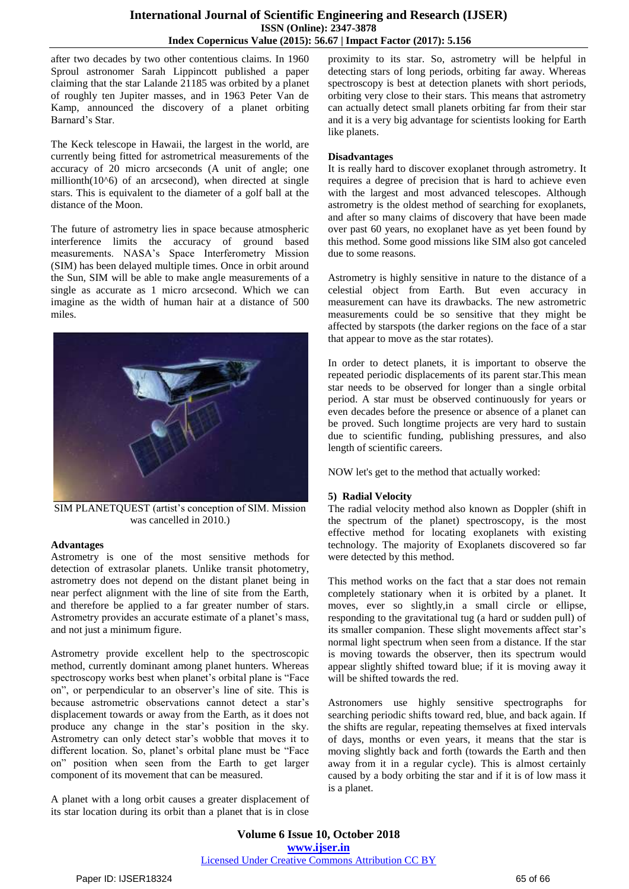# **International Journal of Scientific Engineering and Research (IJSER) ISSN (Online): 2347-3878 Index Copernicus Value (2015): 56.67 | Impact Factor (2017): 5.156**

after two decades by two other contentious claims. In 1960 Sproul astronomer Sarah Lippincott published a paper claiming that the star Lalande 21185 was orbited by a planet of roughly ten Jupiter masses, and in 1963 Peter Van de Kamp, announced the discovery of a planet orbiting Barnard"s Star.

The Keck telescope in Hawaii, the largest in the world, are currently being fitted for astrometrical measurements of the accuracy of 20 micro arcseconds (A unit of angle; one millionth $(10<sup>0</sup>6)$  of an arcsecond), when directed at single stars. This is equivalent to the diameter of a golf ball at the distance of the Moon.

The future of astrometry lies in space because atmospheric interference limits the accuracy of ground based measurements. NASA"s Space Interferometry Mission (SIM) has been delayed multiple times. Once in orbit around the Sun, SIM will be able to make angle measurements of a single as accurate as 1 micro arcsecond. Which we can imagine as the width of human hair at a distance of 500 miles.



SIM PLANETQUEST (artist's conception of SIM. Mission was cancelled in 2010.)

#### **Advantages**

Astrometry is one of the most sensitive methods for detection of extrasolar planets. Unlike transit photometry, astrometry does not depend on the distant planet being in near perfect alignment with the line of site from the Earth, and therefore be applied to a far greater number of stars. Astrometry provides an accurate estimate of a planet's mass, and not just a minimum figure.

Astrometry provide excellent help to the spectroscopic method, currently dominant among planet hunters. Whereas spectroscopy works best when planet's orbital plane is "Face" on", or perpendicular to an observer"s line of site. This is because astrometric observations cannot detect a star"s displacement towards or away from the Earth, as it does not produce any change in the star"s position in the sky. Astrometry can only detect star"s wobble that moves it to different location. So, planet's orbital plane must be "Face on" position when seen from the Earth to get larger component of its movement that can be measured.

A planet with a long orbit causes a greater displacement of its star location during its orbit than a planet that is in close proximity to its star. So, astrometry will be helpful in detecting stars of long periods, orbiting far away. Whereas spectroscopy is best at detection planets with short periods, orbiting very close to their stars. This means that astrometry can actually detect small planets orbiting far from their star and it is a very big advantage for scientists looking for Earth like planets.

#### **Disadvantages**

It is really hard to discover exoplanet through astrometry. It requires a degree of precision that is hard to achieve even with the largest and most advanced telescopes. Although astrometry is the oldest method of searching for exoplanets, and after so many claims of discovery that have been made over past 60 years, no exoplanet have as yet been found by this method. Some good missions like SIM also got canceled due to some reasons.

Astrometry is highly sensitive in nature to the distance of a celestial object from Earth. But even accuracy in measurement can have its drawbacks. The new astrometric measurements could be so sensitive that they might be affected by starspots (the darker regions on the face of a star that appear to move as the star rotates).

In order to detect planets, it is important to observe the repeated periodic displacements of its parent star.This mean star needs to be observed for longer than a single orbital period. A star must be observed continuously for years or even decades before the presence or absence of a planet can be proved. Such longtime projects are very hard to sustain due to scientific funding, publishing pressures, and also length of scientific careers.

NOW let's get to the method that actually worked:

#### **5) Radial Velocity**

The radial velocity method also known as Doppler (shift in the spectrum of the planet) spectroscopy, is the most effective method for locating exoplanets with existing technology. The majority of Exoplanets discovered so far were detected by this method.

This method works on the fact that a star does not remain completely stationary when it is orbited by a planet. It moves, ever so slightly,in a small circle or ellipse, responding to the gravitational tug (a hard or sudden pull) of its smaller companion. These slight movements affect star's normal light spectrum when seen from a distance. If the star is moving towards the observer, then its spectrum would appear slightly shifted toward blue; if it is moving away it will be shifted towards the red.

Astronomers use highly sensitive spectrographs for searching periodic shifts toward red, blue, and back again. If the shifts are regular, repeating themselves at fixed intervals of days, months or even years, it means that the star is moving slightly back and forth (towards the Earth and then away from it in a regular cycle). This is almost certainly caused by a body orbiting the star and if it is of low mass it is a planet.